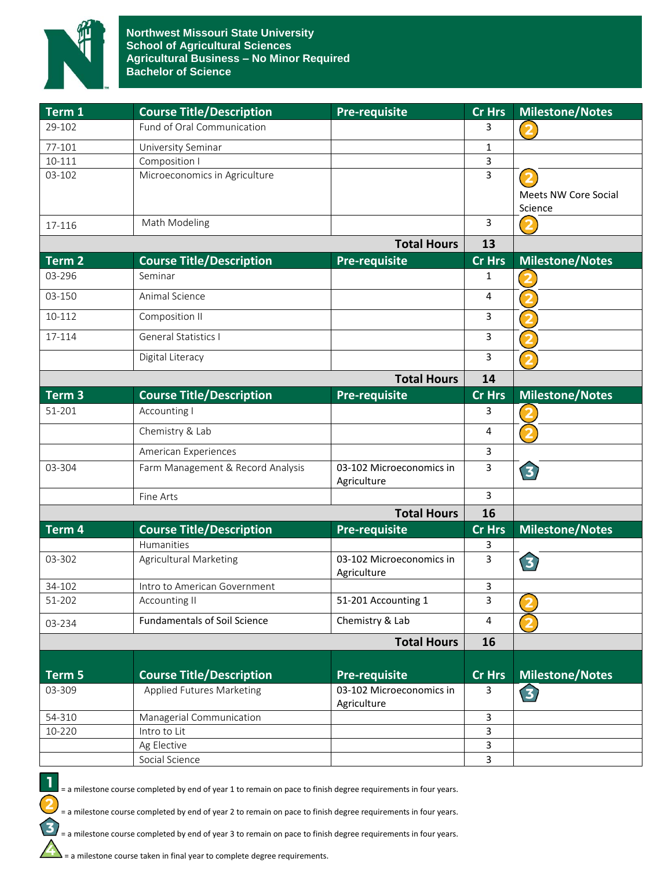

| Term 1             | <b>Course Title/Description</b>     | <b>Pre-requisite</b>                    | <b>Cr Hrs</b> | <b>Milestone/Notes</b>  |
|--------------------|-------------------------------------|-----------------------------------------|---------------|-------------------------|
| 29-102             | Fund of Oral Communication          |                                         | 3             | $\overline{\mathbf{2}}$ |
| 77-101             | University Seminar                  |                                         | 1             |                         |
| 10-111             | Composition I                       |                                         | 3             |                         |
| 03-102             | Microeconomics in Agriculture       |                                         | 3             |                         |
|                    |                                     |                                         |               | Meets NW Core Social    |
|                    | Math Modeling                       |                                         | 3             | Science                 |
| 17-116             |                                     |                                         | 13            | $\overline{2}$          |
| <b>Total Hours</b> |                                     |                                         |               |                         |
| Term <sub>2</sub>  | <b>Course Title/Description</b>     | <b>Pre-requisite</b>                    | <b>Cr Hrs</b> | <b>Milestone/Notes</b>  |
| 03-296             | Seminar                             |                                         | 1             |                         |
| 03-150             | Animal Science                      |                                         | 4             | $\overline{\mathbf{2}}$ |
| 10-112             | Composition II                      |                                         | 3             |                         |
| 17-114             | General Statistics I                |                                         | 3             |                         |
|                    | Digital Literacy                    |                                         | 3             |                         |
|                    |                                     | <b>Total Hours</b>                      | 14            |                         |
| Term <sub>3</sub>  | <b>Course Title/Description</b>     | Pre-requisite                           | <b>Cr Hrs</b> | <b>Milestone/Notes</b>  |
| 51-201             | Accounting I                        |                                         | 3             |                         |
|                    | Chemistry & Lab                     |                                         | 4             | $\overline{\mathbf{2}}$ |
|                    | American Experiences                |                                         | 3             |                         |
| 03-304             | Farm Management & Record Analysis   | 03-102 Microeconomics in<br>Agriculture | 3             | 3                       |
|                    | Fine Arts                           |                                         | 3             |                         |
|                    |                                     | <b>Total Hours</b>                      | 16            |                         |
| Term 4             | <b>Course Title/Description</b>     | <b>Pre-requisite</b>                    | <b>Cr Hrs</b> | <b>Milestone/Notes</b>  |
|                    | Humanities                          |                                         | 3             |                         |
| 03-302             | <b>Agricultural Marketing</b>       | 03-102 Microeconomics in<br>Agriculture | 3             | 3                       |
| 34-102             | Intro to American Government        |                                         | 3             |                         |
| 51-202             | Accounting II                       | 51-201 Accounting 1                     | 3             | $\overline{2}$          |
| 03-234             | <b>Fundamentals of Soil Science</b> | Chemistry & Lab                         | 4             | $\overline{2}$          |
|                    |                                     | <b>Total Hours</b>                      | 16            |                         |
|                    |                                     |                                         |               |                         |
| Term 5             | <b>Course Title/Description</b>     | <b>Pre-requisite</b>                    | <b>Cr Hrs</b> | <b>Milestone/Notes</b>  |
| 03-309             | <b>Applied Futures Marketing</b>    | 03-102 Microeconomics in<br>Agriculture | 3             | 3                       |
| 54-310             | Managerial Communication            |                                         | $\mathbf{3}$  |                         |
| 10-220             | Intro to Lit                        |                                         | $\mathsf{3}$  |                         |
|                    | Ag Elective                         |                                         | $\mathsf{3}$  |                         |
|                    | Social Science                      |                                         | 3             |                         |

 $\mathbf{I}$ = a milestone course completed by end of year 1 to remain on pace to finish degree requirements in four years.

= a milestone course completed by end of year 2 to remain on pace to finish degree requirements in four years.

= a milestone course completed by end of year 3 to remain on pace to finish degree requirements in four years.

 $\sum$  = a milestone course taken in final year to complete degree requirements.

 $\overline{\mathbf{c}}$ 

 $\mathbf{\Omega}$